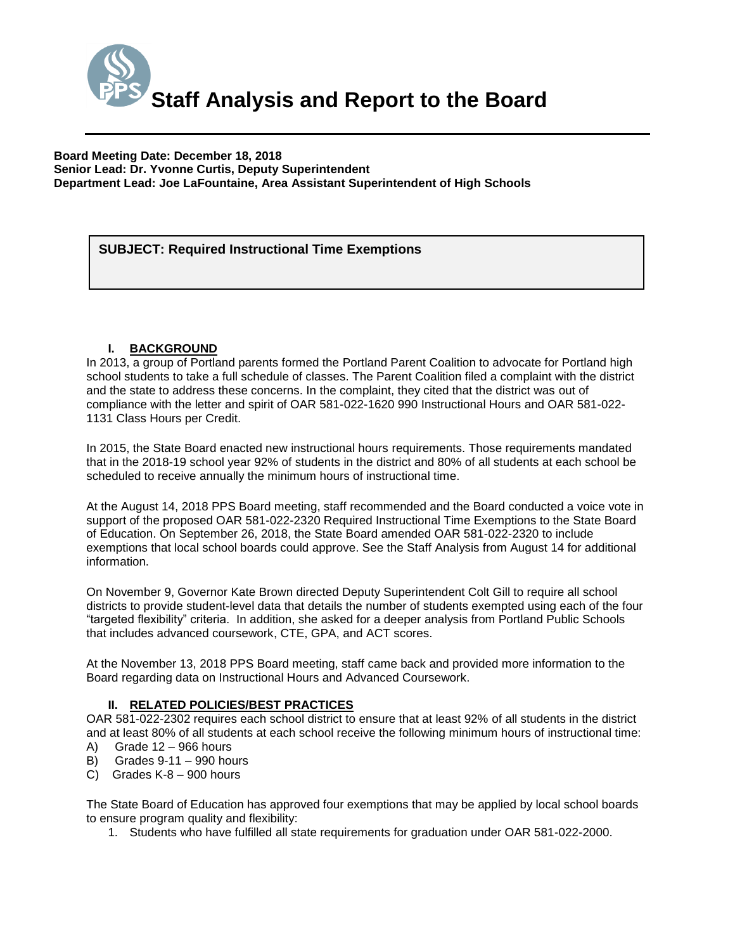

**Board Meeting Date: December 18, 2018 Senior Lead: Dr. Yvonne Curtis, Deputy Superintendent Department Lead: Joe LaFountaine, Area Assistant Superintendent of High Schools**

# *(Use this section to briefly explain the item—2-3 sentences)* **SUBJECT: Required Instructional Time Exemptions**

### **I. BACKGROUND**

In 2013, a group of Portland parents formed the Portland Parent Coalition to advocate for Portland high school students to take a full schedule of classes. The Parent Coalition filed a complaint with the district and the state to address these concerns. In the complaint, they cited that the district was out of compliance with the letter and spirit of OAR 581-022-1620 990 Instructional Hours and OAR 581-022- 1131 Class Hours per Credit.

In 2015, the State Board enacted new instructional hours requirements. Those requirements mandated that in the 2018-19 school year 92% of students in the district and 80% of all students at each school be scheduled to receive annually the minimum hours of instructional time.

At the August 14, 2018 PPS Board meeting, staff recommended and the Board conducted a voice vote in support of the proposed OAR 581-022-2320 Required Instructional Time Exemptions to the State Board of Education. On September 26, 2018, the State Board amended OAR 581-022-2320 to include exemptions that local school boards could approve. See the Staff Analysis from August 14 for additional information.

On November 9, Governor Kate Brown directed Deputy Superintendent Colt Gill to require all school districts to provide student-level data that details the number of students exempted using each of the four "targeted flexibility" criteria. In addition, she asked for a deeper analysis from Portland Public Schools that includes advanced coursework, CTE, GPA, and ACT scores.

At the November 13, 2018 PPS Board meeting, staff came back and provided more information to the Board regarding data on Instructional Hours and Advanced Coursework.

### **II. RELATED POLICIES/BEST PRACTICES**

OAR 581-022-2302 requires each school district to ensure that at least 92% of all students in the district and at least 80% of all students at each school receive the following minimum hours of instructional time:

- A) Grade 12 966 hours
- B) Grades 9-11 990 hours C) Grades K-8 – 900 hours

The State Board of Education has approved four exemptions that may be applied by local school boards to ensure program quality and flexibility:

1. Students who have fulfilled all state requirements for graduation under OAR 581-022-2000.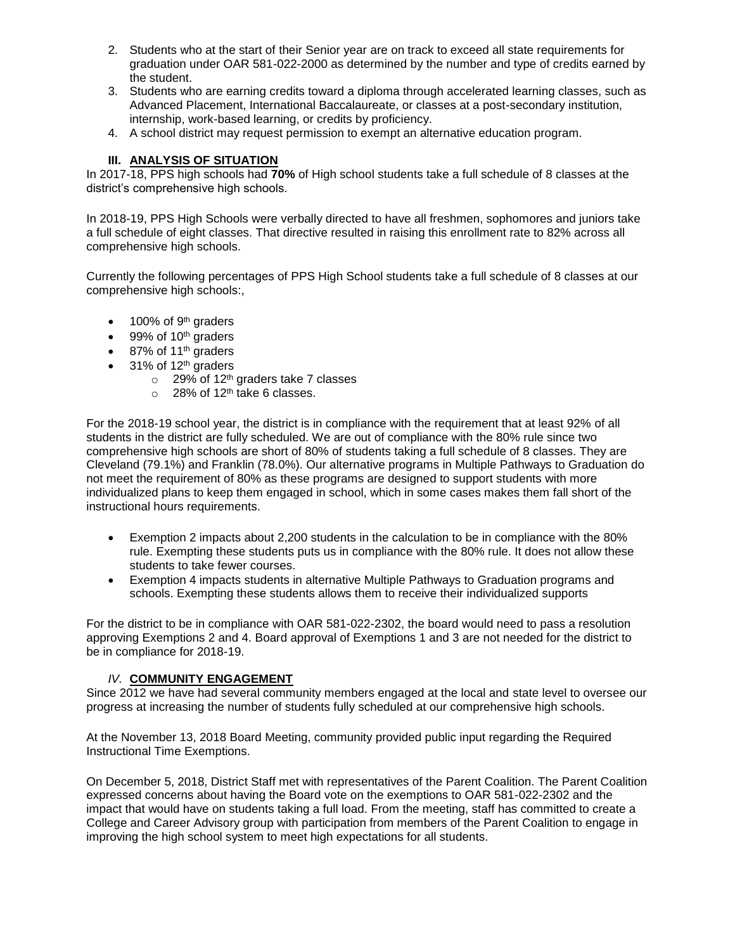- 2. Students who at the start of their Senior year are on track to exceed all state requirements for graduation under OAR 581-022-2000 as determined by the number and type of credits earned by the student.
- 3. Students who are earning credits toward a diploma through accelerated learning classes, such as Advanced Placement, International Baccalaureate, or classes at a post-secondary institution, internship, work-based learning, or credits by proficiency.
- 4. A school district may request permission to exempt an alternative education program.

## **III. ANALYSIS OF SITUATION**

In 2017-18, PPS high schools had **70%** of High school students take a full schedule of 8 classes at the district's comprehensive high schools.

In 2018-19, PPS High Schools were verbally directed to have all freshmen, sophomores and juniors take a full schedule of eight classes. That directive resulted in raising this enrollment rate to 82% across all comprehensive high schools.

Currently the following percentages of PPS High School students take a full schedule of 8 classes at our comprehensive high schools:,

- $\bullet$  100% of 9<sup>th</sup> graders
- $\bullet$  99% of 10<sup>th</sup> graders
- $\bullet$  87% of 11<sup>th</sup> graders
- $\bullet$  31% of 12<sup>th</sup> graders
	- $\circ$  29% of 12<sup>th</sup> graders take 7 classes
	- $\circ$  28% of 12<sup>th</sup> take 6 classes.

For the 2018-19 school year, the district is in compliance with the requirement that at least 92% of all students in the district are fully scheduled. We are out of compliance with the 80% rule since two comprehensive high schools are short of 80% of students taking a full schedule of 8 classes. They are Cleveland (79.1%) and Franklin (78.0%). Our alternative programs in Multiple Pathways to Graduation do not meet the requirement of 80% as these programs are designed to support students with more individualized plans to keep them engaged in school, which in some cases makes them fall short of the instructional hours requirements.

- Exemption 2 impacts about 2,200 students in the calculation to be in compliance with the 80% rule. Exempting these students puts us in compliance with the 80% rule. It does not allow these students to take fewer courses.
- Exemption 4 impacts students in alternative Multiple Pathways to Graduation programs and schools. Exempting these students allows them to receive their individualized supports

For the district to be in compliance with OAR 581-022-2302, the board would need to pass a resolution approving Exemptions 2 and 4. Board approval of Exemptions 1 and 3 are not needed for the district to be in compliance for 2018-19.

### *IV.* **COMMUNITY ENGAGEMENT**

Since 2012 we have had several community members engaged at the local and state level to oversee our progress at increasing the number of students fully scheduled at our comprehensive high schools.

At the November 13, 2018 Board Meeting, community provided public input regarding the Required Instructional Time Exemptions.

On December 5, 2018, District Staff met with representatives of the Parent Coalition. The Parent Coalition expressed concerns about having the Board vote on the exemptions to OAR 581-022-2302 and the impact that would have on students taking a full load. From the meeting, staff has committed to create a College and Career Advisory group with participation from members of the Parent Coalition to engage in improving the high school system to meet high expectations for all students.